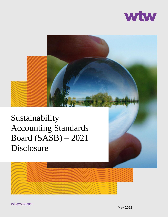



Sustainability Accounting Standards Board (SASB) – 2021 Disclosure



wtwco.com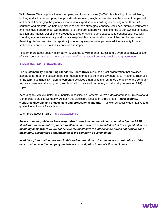Willis Towers Watson public limited company and its subsidiaries ("WTW") is a leading global advisory, broking and solutions company that provides data-driven, insight-led solutions in the areas of people, risk and capital. Leveraging the global view and local expertise of our colleagues serving more than 140 countries and markets, we help organizations sharpen strategies, enhance resilience, motivate workforces and maximize performance. Our purpose is to transform tomorrows - this extends to our own sustainability position and impact. Our clients, colleagues and other stakeholders expect us to conduct business with integrity, in an environmentally and socially responsible manner and with the highest ethical standards. Providing disclosures, like this report, is just one way we plan to help create additional clarity for our stakeholders on our sustainability position and impact.

To learn more about sustainability at WTW visit the Environmental, Social and Governance (ESG) section of wtwco.com at [https://www.wtwco.com/en-US/About-Us/environmental-social-and-governance.](https://www.wtwco.com/en-US/About-Us/environmental-social-and-governance)

#### **About the SASB Standards**

The **Sustainability Accounting Standards Board (SASB)** is a non-profit organization that provides standards for reporting sustainability information intended to be financially material to investors. Their use of the term "sustainability" refers to corporate activities that maintain or enhance the ability of the company to create value over the long term, and is linked to their environmental, social, and governance (ESG) impact.

According to SASB's Sustainable Industry Classification System®, WTW is designated as a Professional & Commercial Services Company. As such this disclosure focuses on three areas — **data security, workforce diversity and engagement and professional integrity** — as well as specific quantitative and qualitative indicators for each topic.

Learn more about SASB at [https://www.sasb.org.](https://www.sasb.org/)

*Please note that, while we have responded in part to a number of items contained in the SASB standards, we have not responded to all items nor have we responded in full to all specified items, including items where we do not believe the disclosure is material and/or does not provide for a meaningful substantive understanding of the company's sustainability*.

*In addition, information provided in this and in other linked documents is current only as of the date provided and the company undertakes no obligation to update this disclosure.*

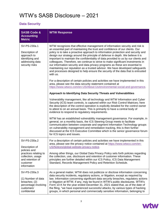### WTW's SASB Disclosure – 2021

#### **Data Security**

| <b>SASB Code &amp;</b><br><b>Accounting</b><br><b>Metric</b>                                                                                | <b>WTW Response</b>                                                                                                                                                                                                                                                                                                                                                                                                                                                                                                                                                                                                                                                                                                                                                             |
|---------------------------------------------------------------------------------------------------------------------------------------------|---------------------------------------------------------------------------------------------------------------------------------------------------------------------------------------------------------------------------------------------------------------------------------------------------------------------------------------------------------------------------------------------------------------------------------------------------------------------------------------------------------------------------------------------------------------------------------------------------------------------------------------------------------------------------------------------------------------------------------------------------------------------------------|
| SV-PS-230a.1<br>Description of<br>approach to<br>identifying and<br>addressing data<br>security risks                                       | WTW recognizes that effective management of information security and risk is<br>an essential part of maintaining the trust and confidence of our clients. Our<br>policy is to take a proactive approach to information protection and security and<br>design our strategy around the principle of defense in depth. We believe it is<br>important to maintain the confidentiality of data provided to us by our clients and<br>colleagues. Therefore, we continue to strive to make significant investments in<br>our information security and data privacy programs as these are essential to<br>maintaining our reputation as a trusted advisor. We have developed safeguards<br>and processes designed to help ensure the security of the data that is entrusted<br>with us. |
|                                                                                                                                             | For a description of certain policies and activities we have implemented in this<br>area, please see the data security statement contained at<br>https://www.wtwco.com/en-US/About-Us/environmental-social-and-governance.                                                                                                                                                                                                                                                                                                                                                                                                                                                                                                                                                      |
|                                                                                                                                             | Approach to Identifying Data Security Threats and Vulnerabilities                                                                                                                                                                                                                                                                                                                                                                                                                                                                                                                                                                                                                                                                                                               |
|                                                                                                                                             | Vulnerability management, like all technology and WTW Information and Cyber<br>Security (ICS) team controls, is captured within our Risk Control Matrices; here<br>the description of the control operation is explicitly detailed for the control owner<br>to attest to on an annual basis. This is primarily to have a central body of<br>evidence to respond to regulatory requirements.                                                                                                                                                                                                                                                                                                                                                                                     |
|                                                                                                                                             | WTW has an established vulnerability management governance. For example, in<br>general, on a monthly basis, the ICS Steering Group meets to facilitate<br>communication between corporate and segment Information Technology groups<br>on vulnerability management and remediation tracking, this is then further<br>discussed at the ICS Executive Committee which is the senior governance forum<br>for ICS topics and issues.                                                                                                                                                                                                                                                                                                                                                |
| SV-PS-230a.2<br>Description of<br>policies and<br>practices relating to<br>collection, usage<br>and retention of<br>customer<br>information | For a description of certain policies and activities we have implemented in this<br>area, please see the privacy notice contained at https://www.wtwco.com/en-<br>US/Notices/global-website-privacy-notice.                                                                                                                                                                                                                                                                                                                                                                                                                                                                                                                                                                     |
|                                                                                                                                             | Among other things, our Global Data Privacy Policy sets forth policies regarding<br>the collection, use, disclosure and retention of customer information. These<br>principles are further detailed within our ICS Policy, ICS Data Management<br>Standard, Records Management Policy and Retention Schedule.                                                                                                                                                                                                                                                                                                                                                                                                                                                                   |
| SV-PS-230a.3<br>(1) Number of data<br>breaches; (2)<br>percentage involving<br>customers'<br>confidential                                   | As a general matter, WTW does not publicize or disclose information concerning<br>data security incidents, regulatory actions, or litigation, except as required by<br>law. Information concerning significant data security breaches, regulatory actions<br>or litigation at WTW, if any, may be found in WTW's public disclosures. WTW's<br>Form 10-K for the year ended December 31, 2021 stated that, as of the date of<br>the filing, "we have experienced successful attacks, by various types of hacking<br>groups, in which personal and commercially sensitive information, belonging to                                                                                                                                                                               |

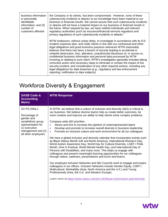| business information<br>or personally<br>identifiable<br>information; and (3)<br>number of<br>customers affected | the Company or its clients, has been compromised. However, none of these<br>cybersecurity incidents or attacks to our knowledge have been material to our<br>business or financial results. We cannot assure that such cybersecurity incidents<br>or attacks will not have a material impact on our business or financial results in<br>the future. When required by law, we have notified individuals and relevant<br>regulatory authorities (such as insurance/financial services regulators and<br>privacy regulators) of such cybersecurity incidents or attacks."                                                                                                                                                                                                                                                                                                           |
|------------------------------------------------------------------------------------------------------------------|----------------------------------------------------------------------------------------------------------------------------------------------------------------------------------------------------------------------------------------------------------------------------------------------------------------------------------------------------------------------------------------------------------------------------------------------------------------------------------------------------------------------------------------------------------------------------------------------------------------------------------------------------------------------------------------------------------------------------------------------------------------------------------------------------------------------------------------------------------------------------------|
|                                                                                                                  | WTW endeavors, without undue delay, to investigate in accordance with its ICS<br>incident response plan, and notify clients in line with our contractual and other<br>legal obligations and good business practices whenever WTW reasonably<br>believes that there has been a breach of security leading to accidental or<br>unlawful destruction, loss, alteration, unauthorized disclosure of, or access to,<br>confidential business information and personal data processed by WTW<br>involving or relating to such client. WTW's investigation generally includes taking<br>corrective action and necessary steps to eliminate or contain the impact of the<br>security incident, and consideration of any other required actions, including any<br>legal obligations for data breaches (e.g., regulatory and law enforcement<br>reporting, notification to data subjects). |

## Workforce Diversity & Engagement

| <b>SASB Code &amp;</b><br><b>Accounting</b><br><b>Metric</b>                                                                                           | <b>WTW Response</b>                                                                                                                                                                                                                                                                                                                                                                                                                                                                                                                                                                                                                                                                                                                                                                                                                                                                                                                                                                                                                                                                                                                                                                                                                                                                                                                                                                                                                                                                    |
|--------------------------------------------------------------------------------------------------------------------------------------------------------|----------------------------------------------------------------------------------------------------------------------------------------------------------------------------------------------------------------------------------------------------------------------------------------------------------------------------------------------------------------------------------------------------------------------------------------------------------------------------------------------------------------------------------------------------------------------------------------------------------------------------------------------------------------------------------------------------------------------------------------------------------------------------------------------------------------------------------------------------------------------------------------------------------------------------------------------------------------------------------------------------------------------------------------------------------------------------------------------------------------------------------------------------------------------------------------------------------------------------------------------------------------------------------------------------------------------------------------------------------------------------------------------------------------------------------------------------------------------------------------|
| SV-PS-330a.1<br>Percentage of<br>gender and<br>racial/ethnic group<br>representation for<br>(1) executive<br>management and (2)<br>all other employees | At WTW, we believe that a culture of inclusion and diversity (I&D) is critical to<br>our business. We believe diverse teams help us create better outcomes, be<br>more creative and improve our ability to help clients solve complex problems.<br>Company-wide I&D priorities:<br>Attract and hire to increase the pipeline of underrepresented talent<br>$\bullet$<br>Develop and promote to increase overall diversity in business leadership<br>$\bullet$<br>Promote an inclusive culture and work environment for all our colleagues<br>$\bullet$<br>We have a global inclusion and diversity calendar that incorporates events such<br>as Black History Month (UK and North America), International Women's Day,<br>World Autism Awareness Day, World Day for Cultural Diversity, LGBT+ Pride<br>Month, Dive In Festival, World Mental Health Day, and International Day of<br>Persons with Disabilities, and many more. This helps us engage with<br>colleagues and present meaningful learning opportunities for our colleagues<br>through videos, webinars, presentations and lunch-and-learns.<br>Our employee Inclusion Networks and I&D Councils work to engage and inspire<br>colleagues in our offices. Inclusion Networks include Gender Equity, LGBT+,<br>Multicultural, Workability (Asia, North America and the U.K.) and Young<br>Professionals (Asia, the U.K. and Western Europe).<br>Learn more at https://www.wtwco.com/en-US/About-Us/inclusion-and-diversity. |

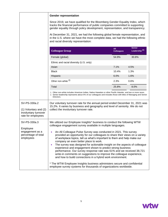|                                                                                     | <b>Gender representation</b><br>Since 2019, we have qualified for the Bloomberg Gender Equality Index, which<br>tracks the financial performance of public companies committed to supporting<br>gender equality through policy development, representation, and transparency.                                                                                                                                                                                                                                                                                                                                                                                                                                                                                                                                                                                                     |                          |                                      |
|-------------------------------------------------------------------------------------|-----------------------------------------------------------------------------------------------------------------------------------------------------------------------------------------------------------------------------------------------------------------------------------------------------------------------------------------------------------------------------------------------------------------------------------------------------------------------------------------------------------------------------------------------------------------------------------------------------------------------------------------------------------------------------------------------------------------------------------------------------------------------------------------------------------------------------------------------------------------------------------|--------------------------|--------------------------------------|
|                                                                                     |                                                                                                                                                                                                                                                                                                                                                                                                                                                                                                                                                                                                                                                                                                                                                                                                                                                                                   |                          |                                      |
|                                                                                     | At December 31, 2021, we had the following global female representation, and<br>in the U.S. where we have the most complete data, we had the following ethnic<br>and racial diversity representation:                                                                                                                                                                                                                                                                                                                                                                                                                                                                                                                                                                                                                                                                             |                          |                                      |
|                                                                                     | <b>Colleague Group</b>                                                                                                                                                                                                                                                                                                                                                                                                                                                                                                                                                                                                                                                                                                                                                                                                                                                            | All<br><b>Colleagues</b> | Senior<br>Leadership <sup>(ii)</sup> |
|                                                                                     | Female (global)                                                                                                                                                                                                                                                                                                                                                                                                                                                                                                                                                                                                                                                                                                                                                                                                                                                                   | 54.9%                    | 30.8%                                |
|                                                                                     | Ethnic and racial diversity (U.S. only)                                                                                                                                                                                                                                                                                                                                                                                                                                                                                                                                                                                                                                                                                                                                                                                                                                           |                          |                                      |
|                                                                                     | Asian                                                                                                                                                                                                                                                                                                                                                                                                                                                                                                                                                                                                                                                                                                                                                                                                                                                                             | 7.1%                     | 4.5%                                 |
|                                                                                     | <b>Black</b>                                                                                                                                                                                                                                                                                                                                                                                                                                                                                                                                                                                                                                                                                                                                                                                                                                                                      | 10.4%                    | 1.3%                                 |
|                                                                                     | Hispanic                                                                                                                                                                                                                                                                                                                                                                                                                                                                                                                                                                                                                                                                                                                                                                                                                                                                          | 6.0%                     | 1.6%                                 |
|                                                                                     | Other non-white (i)                                                                                                                                                                                                                                                                                                                                                                                                                                                                                                                                                                                                                                                                                                                                                                                                                                                               | 2.3%                     | 0.6%                                 |
|                                                                                     | Total                                                                                                                                                                                                                                                                                                                                                                                                                                                                                                                                                                                                                                                                                                                                                                                                                                                                             | 25.8%                    | 8.0%                                 |
|                                                                                     | 1. Other non-white includes American Indian, Native Hawaiian or other Pacific Islander, and two or more races.<br>2. Senior leadership represents about 5% of our colleagues and includes those with titles of Managing and Senior<br>Directors.                                                                                                                                                                                                                                                                                                                                                                                                                                                                                                                                                                                                                                  |                          |                                      |
| SV-PS-330a.2<br>(1) Voluntary and (2)<br>involuntary turnover<br>rate for employees | Our voluntary turnover rate for the annual period ended December 31, 2021 was<br>15.2%. It varies by business and geography and level of seniority. We do not<br>collect the involuntary turnover rate.                                                                                                                                                                                                                                                                                                                                                                                                                                                                                                                                                                                                                                                                           |                          |                                      |
| SV-PS-330a.3<br>Employee<br>engagement as a<br>percentage of total<br>employees     | We utilized our Employee Insights* business to conduct the following WTW<br>colleague engagement survey available in multiple languages.<br>An All Colleague Pulse Survey was conducted in 2021. This survey<br>$\bullet$<br>provided an opportunity for our colleagues to share their views on a variety<br>of workplace topics, tell us what's important to them and help make our<br>company an even better place to work.<br>The survey was designed for actionable insight on the aspects of colleague<br>$\bullet$<br>experience and engagement shown to predict strong business<br>performance. Our survey response rate was 61% and we received 38,721<br>write-in comments on suggestions to improve the colleague experience,<br>and how to build connections in a hybrid work environment.<br>* The WTW Employee Insights business administers secure and confidential |                          |                                      |
|                                                                                     | employee survey systems for thousands of organizations worldwide.                                                                                                                                                                                                                                                                                                                                                                                                                                                                                                                                                                                                                                                                                                                                                                                                                 |                          |                                      |

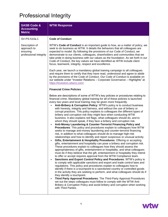# Professional Integrity

| <b>SASB Code &amp;</b><br><b>Accounting</b><br><b>Metric</b>        | <b>WTW Response</b>                                                                                                                                                                                                                                                                                                                                                                                                                                                                                                                                                                                                                                                                                                                                                                                                                                                                                                                                                                                                                                                                                                                                                                                                                                                                                                                                                                                                                                                                                                                                                                                                                                                                                                                                                                                                                                                                                                                                                                                                                                                                                                                                                                                                                                                                 |  |  |
|---------------------------------------------------------------------|-------------------------------------------------------------------------------------------------------------------------------------------------------------------------------------------------------------------------------------------------------------------------------------------------------------------------------------------------------------------------------------------------------------------------------------------------------------------------------------------------------------------------------------------------------------------------------------------------------------------------------------------------------------------------------------------------------------------------------------------------------------------------------------------------------------------------------------------------------------------------------------------------------------------------------------------------------------------------------------------------------------------------------------------------------------------------------------------------------------------------------------------------------------------------------------------------------------------------------------------------------------------------------------------------------------------------------------------------------------------------------------------------------------------------------------------------------------------------------------------------------------------------------------------------------------------------------------------------------------------------------------------------------------------------------------------------------------------------------------------------------------------------------------------------------------------------------------------------------------------------------------------------------------------------------------------------------------------------------------------------------------------------------------------------------------------------------------------------------------------------------------------------------------------------------------------------------------------------------------------------------------------------------------|--|--|
| SV-PS-510a.1                                                        | <b>Code of Conduct</b>                                                                                                                                                                                                                                                                                                                                                                                                                                                                                                                                                                                                                                                                                                                                                                                                                                                                                                                                                                                                                                                                                                                                                                                                                                                                                                                                                                                                                                                                                                                                                                                                                                                                                                                                                                                                                                                                                                                                                                                                                                                                                                                                                                                                                                                              |  |  |
| Description of<br>approach to<br>ensuring<br>professional integrity | WTW's Code of Conduct is an important guide to how, as a matter of policy, we<br>seek to do business as WTW. It details the behaviors that all colleagues are<br>expected to model. By following the provisions of our Code of Conduct, we<br>demonstrate to our clients, colleagues, shareholders and communities that we<br>take pride in doing business with our values as the foundation. As set forth in our<br>Code of Conduct, the key values we have identified as WTW include client<br>focus, teamwork, integrity, respect and excellence.                                                                                                                                                                                                                                                                                                                                                                                                                                                                                                                                                                                                                                                                                                                                                                                                                                                                                                                                                                                                                                                                                                                                                                                                                                                                                                                                                                                                                                                                                                                                                                                                                                                                                                                                |  |  |
|                                                                     | Each year, we launch a mandatory global training campaign to all colleagues<br>and require them to certify that they have read, understood and agree to abide<br>by the provisions of the Code of Conduct. Our Code of Conduct is available on<br>our website under "Investor Relations - Corporate Governance - Highlights" at<br>https://investors.wtwco.com/.                                                                                                                                                                                                                                                                                                                                                                                                                                                                                                                                                                                                                                                                                                                                                                                                                                                                                                                                                                                                                                                                                                                                                                                                                                                                                                                                                                                                                                                                                                                                                                                                                                                                                                                                                                                                                                                                                                                    |  |  |
|                                                                     | <b>Financial Crime Policies</b>                                                                                                                                                                                                                                                                                                                                                                                                                                                                                                                                                                                                                                                                                                                                                                                                                                                                                                                                                                                                                                                                                                                                                                                                                                                                                                                                                                                                                                                                                                                                                                                                                                                                                                                                                                                                                                                                                                                                                                                                                                                                                                                                                                                                                                                     |  |  |
|                                                                     | Below are descriptions of some of WTW's key policies or procedures relating to<br>financial crime. Mandatory global training for all of these policies is launched<br>every two years and local training may be given more frequently.<br>Anti-Bribery & Corruption Policy: WTW's policy is to conduct business<br>with honesty, integrity and fairness, and without the use of bribery or<br>corrupt practices. This policy explains to colleagues the different types of<br>bribery and corruption risk they might face when conducting WTW<br>business. It also explains red flags, what colleagues should do, and to<br>whom they should speak, if they face a bribery and corruption risk.<br>Anti-Money Laundering & Counter-Terrorist Financing Policy and<br>$\bullet$<br>Procedures: This policy and procedures explain to colleagues how WTW<br>seeks to manage anti-money laundering and counter-terrorist financing<br>risk, in addition to what colleagues should do to manage high-risk<br>relationships and how to identify and report suspicious or unusual activity.<br>Gifts, Entertainment & Hospitality Procedures: Offering or accepting<br>$\bullet$<br>gifts, entertainment and hospitality can pose a bribery and corruption risk.<br>These procedures explain to colleagues how they should assess the<br>appropriateness of gifts, entertainment or hospitality, and what colleagues<br>must do if they believe that the gift, entertainment or hospitality they intend<br>to offer or accept requires approval from the WTW Compliance team.<br>Sanctions and Export Control Policy and Procedures: WTW's policy is<br>$\bullet$<br>to comply with applicable sanctions and export and trade control laws and<br>regulations. This policy and procedures explain to colleagues how to<br>identify if there is a touchpoint to a sanctioned country or controlled goods<br>in the activity they are seeking to perform, and what colleagues should do if<br>they identify a touchpoint.<br>Third Party Approval Procedures: The Third-Party Approval Procedures<br>$\bullet$<br>set out the steps colleagues must follow to comply with the WTW Anti-<br>Bribery & Corruption Policy and avoid bribery and corruption when working<br>with Third Parties. |  |  |

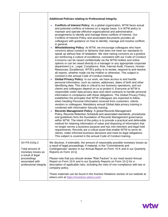|                                                                                                                                        | <b>Additional Policies relating to Professional Integrity</b>                                                                                                                                                                                                                                                                                                                                                                                                                                                                                                                                                                                                                                                                                                                                                                                                                                                                                                                                                                                                                                                                                                                                                                                                                                                                                                                                                                                                                                                                                                                                                                                                                                                                                                                                                                                                                                                                                                                                                                                                                                                                                                                                                                                                                                                                                                                                                                                                                                                                                                                                                                                                          |  |
|----------------------------------------------------------------------------------------------------------------------------------------|------------------------------------------------------------------------------------------------------------------------------------------------------------------------------------------------------------------------------------------------------------------------------------------------------------------------------------------------------------------------------------------------------------------------------------------------------------------------------------------------------------------------------------------------------------------------------------------------------------------------------------------------------------------------------------------------------------------------------------------------------------------------------------------------------------------------------------------------------------------------------------------------------------------------------------------------------------------------------------------------------------------------------------------------------------------------------------------------------------------------------------------------------------------------------------------------------------------------------------------------------------------------------------------------------------------------------------------------------------------------------------------------------------------------------------------------------------------------------------------------------------------------------------------------------------------------------------------------------------------------------------------------------------------------------------------------------------------------------------------------------------------------------------------------------------------------------------------------------------------------------------------------------------------------------------------------------------------------------------------------------------------------------------------------------------------------------------------------------------------------------------------------------------------------------------------------------------------------------------------------------------------------------------------------------------------------------------------------------------------------------------------------------------------------------------------------------------------------------------------------------------------------------------------------------------------------------------------------------------------------------------------------------------------------|--|
|                                                                                                                                        | Conflicts of Interest Policy: As a global organization, WTW faces actual<br>and potential conflicts of interest on a regular basis. It is WTW policy to<br>maintain and operate effective organizational and administrative<br>arrangements to identify and manage these conflicts of interest. Our<br>Conflicts of Interest Policy and associated documents provides all<br>colleagues with guidance on how to identify, manage and resolve conflicts<br>in general.<br>Whistleblowing Policy: At WTW, we encourage colleagues who have<br>concerns about conduct or behavior that does not meet our standards to<br>speak up without fear of retaliation. We view raising concerns as a positive<br>act reinforcing a culture of excellence, consistent with our Code of Conduct.<br>Concerns can be raised confidentially via the WTW Hotline and online<br>options or can be raised directly to a manager or any appropriate corporate<br>department (i.e., Legal, Compliance, Risk, Internal Audit, Finance, Human<br>Resources, Excellence). WTW's policy is to review, respond to and resolve<br>all reports, whether made via the Hotline or otherwise. This subject is<br>covered in the annual Code of Conduct training.<br>Global Privacy Policy: In our work, we have access to and handle<br>personal information, such as names, addresses, dates of birth and other<br>identifying data. This data is critical to our business operations, and our<br>clients and colleagues depend on us to protect it. Everyone at WTW is<br>responsible under data privacy laws and client contracts to handle personal<br>information in compliance with these obligations. The Global Privacy Policy<br>establishes the principles that WTW colleagues are expected to follow<br>when handing Personal Information received from customers, clients,<br>vendors or colleagues. Mandatory annual Global data privacy training is<br>combined with Information Security training.<br>Records Management Policy: A global Records Management<br>Policy, Records Retention Schedule and associated standards, procedures<br>and guidelines form the foundation of Records Management governance<br>within WTW. The intent of the policy is to provide a practical and defensible<br>method for retaining information of value and disposing of information that<br>no longer serves a business purpose and has met retention and legal hold<br>requirements. Records are a critical asset that enable WTW to serve its<br>clients, make informed business decisions and meet its legal obligations.<br>This subject is covered in the annual Code of Conduct training. |  |
| SV-PS-510a.2<br>Total amount of<br>monetary losses as<br>a result of legal<br>proceedings<br>associated with<br>professional integrity | We disclose, if estimable, the amount of reasonably possible monetary losses as<br>a result of legal proceedings, if material, in the "Commitments and<br>Contingencies" section in our Annual Report on Form 10-K and in our Quarterly<br>Reports on Form 10-Q.                                                                                                                                                                                                                                                                                                                                                                                                                                                                                                                                                                                                                                                                                                                                                                                                                                                                                                                                                                                                                                                                                                                                                                                                                                                                                                                                                                                                                                                                                                                                                                                                                                                                                                                                                                                                                                                                                                                                                                                                                                                                                                                                                                                                                                                                                                                                                                                                       |  |
|                                                                                                                                        | Please note that you should review "Risk Factors" in our most recent Annual<br>Report on Form 10-K and in our Quarterly Reports on Form 10-Q for a<br>description of applicable risks, including the risks of non-compliance with law or<br>company policy.                                                                                                                                                                                                                                                                                                                                                                                                                                                                                                                                                                                                                                                                                                                                                                                                                                                                                                                                                                                                                                                                                                                                                                                                                                                                                                                                                                                                                                                                                                                                                                                                                                                                                                                                                                                                                                                                                                                                                                                                                                                                                                                                                                                                                                                                                                                                                                                                            |  |
|                                                                                                                                        | These materials can be found in the Investor Relations section of our website at<br>wtwco.com at https://investors.wtwco.com/                                                                                                                                                                                                                                                                                                                                                                                                                                                                                                                                                                                                                                                                                                                                                                                                                                                                                                                                                                                                                                                                                                                                                                                                                                                                                                                                                                                                                                                                                                                                                                                                                                                                                                                                                                                                                                                                                                                                                                                                                                                                                                                                                                                                                                                                                                                                                                                                                                                                                                                                          |  |

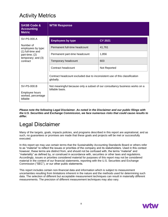### Activity Metrics

| <b>SASB Code &amp;</b><br><b>Accounting</b><br><b>Metric</b>                                                            | <b>WTW Response</b>                                                                            |                |
|-------------------------------------------------------------------------------------------------------------------------|------------------------------------------------------------------------------------------------|----------------|
| SV-PS-000.A<br>Number of<br>employees by type:<br>(1) full-time and<br>part-time; (2)<br>temporary; and (3)<br>contract | <b>Employees by type</b>                                                                       | <b>CY 2021</b> |
|                                                                                                                         | Permanent full-time headcount                                                                  | 41,761         |
|                                                                                                                         | Permanent part-time headcount                                                                  | 1,856          |
|                                                                                                                         | Temporary headcount                                                                            | 603            |
|                                                                                                                         | Contract headcount                                                                             | Not Reported   |
|                                                                                                                         | Contract headcount excluded due to inconsistent use of this classification<br>globally.        |                |
| SV-PS-000.B                                                                                                             | Not meaningful because only a subset of our consultancy business works on a<br>billable basis. |                |
| Employee hours<br>worked, percentage<br>billable                                                                        |                                                                                                |                |

*Please note the following Legal Disclaimer. As noted in the Disclaimer and our public filings with the U.S. Securities and Exchange Commission, we face numerous risks that could cause results to differ.*

#### Legal Disclaimer

Many of the targets, goals, impacts policies, and programs described in this report are aspirational, and as such, no guarantees or promises are made that these goals and projects will be met or successfully executed.

In this report we may use certain terms that the Sustainability Accounting Standards Board or others refer to as "material" to reflect the issues or priorities of the company and its stakeholders. Used in this context however, these terms are distinct from, and should not be confused with, the terms "material" and "materiality" as defined by, or construed in accordance with, securities or other laws and regulations. Accordingly, issues or priorities considered material for purposes of this report may not be considered material in the context of our financial statements, reporting with the U.S. Securities and Exchange Commission ("SEC"), or our other public statements.

This report includes certain non-financial data and information which is subject to measurement uncertainties resulting from limitations inherent in the nature and the methods used for determining such data. The selection of different but acceptable measurement techniques can result in materially different measurements. The precision of different measurement techniques may also vary.

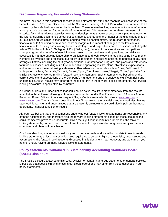#### **Disclaimer Regarding Forward-Looking Statements**

We have included in this document 'forward-looking statements' within the meaning of Section 27A of the Securities Act of 1933, and Section 21E of the Securities Exchange Act of 1934, which are intended to be covered by the safe harbors created by those laws. These forward-looking statements include information about possible or assumed future results of our operations. All statements, other than statements of historical facts, that address activities, events or developments that we expect or anticipate may occur in the future, including such things as our outlook, metrics and targets, the impact of the global pandemic on our business, future capital expenditures, ongoing working capital efforts, future share repurchases, financial results (including our revenue, costs or margins), the impact of changes to tax laws on our financial results, existing and evolving business strategies and acquisitions and dispositions, including the sale of Willis Re to Arthur J. Gallagher & Co. ('Gallagher'), demand for our services and competitive strengths, goals, the benefits of new initiatives, growth of our business and operations, our ability to successfully manage ongoing leadership, organizational and technology changes, including investments in improving systems and processes, our ability to implement and realize anticipated benefits of any costsavings initiatives including the multi-year operational Transformation program, and plans and references to future successes, including our future financial and operating results, plans, objectives, expectations and intentions are forward-looking statements. Also, when we use words such as 'may,' 'will,' 'would,' 'anticipate,' 'believe,' 'estimate,' 'expect,' 'intend,' 'plan,' 'continues,' 'seek,' 'target,' 'focus,' 'probably,' or similar expressions, we are making forward-looking statements. Such statements are based upon the current beliefs and expectations of the Company's management and are subject to significant risks and uncertainties. Actual results may differ from those set forth in the forward-looking statements. All forwardlooking disclosure is speculative by its nature.

A number of risks and uncertainties that could cause actual results to differ materially from the results reflected in these forward-looking statements are identified under Risk Factors in Item 1A of our Annual Report on Form 10-K and in our subsequent filings. Copies are available online at [www.sec.gov](file://///wwc/detroit/data01/Conf/Byrnes%20-%20TW%20Data/WTW-2022/www.sec.gov) or [www.wtwco.com.](file://///wwc/detroit/data01/Conf/Byrnes%20-%20TW%20Data/WTW-2022/www.wtwco.com) The risk factors described in our filings are not the only risks and uncertainties that we face. Additional risks and uncertainties that are presently unknown to us could also impair our business operations, financial condition or results.

Although we believe that the assumptions underlying our forward-looking statements are reasonable, any of these assumptions, and therefore also the forward-looking statements based on these assumptions, could themselves prove to be inaccurate. Given the significant uncertainties inherent in the forwardlooking statements, our inclusion of this information is not a representation or guarantee by us that our objectives and plans will be achieved.

Our forward-looking statements speak only as of the date made and we will not update these forwardlooking statements unless the securities laws require us to do so. In light of these risks, uncertainties and assumptions, the forward-looking events discussed in this document may not occur, and we caution you against unduly relying on these forward-looking statements.

#### **Policy Statements Contained in Sustainability Accounting Standards Board (SASB) Disclosure**

The SASB disclosure attached to this Legal Disclaimer contain numerous statements of general policies. It is possible that specific circumstances in our global operations may differ from those described in our policy statements.